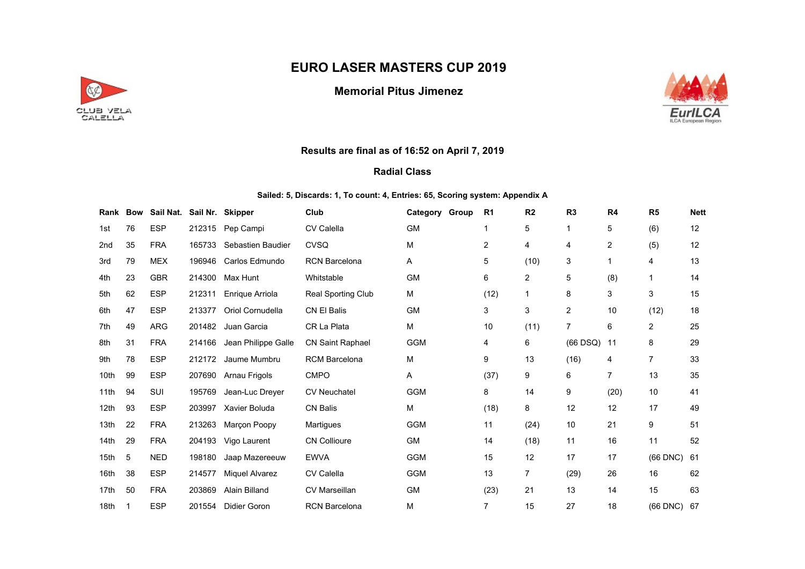# EURO LASER MASTERS CUP 2019



## Memorial Pitus Jimenez



### Results are final as of 16:52 on April 7, 2019

#### Radial Class

#### Sailed: 5, Discards: 1, To count: 4, Entries: 65, Scoring system: Appendix A

| Rank Bow        |    | Sail Nat. Sail Nr. Skipper |        |                       | Club                    | Category Group | R1             | R <sub>2</sub> | R <sub>3</sub> | R <sub>4</sub> | R <sub>5</sub> | <b>Nett</b> |
|-----------------|----|----------------------------|--------|-----------------------|-------------------------|----------------|----------------|----------------|----------------|----------------|----------------|-------------|
| 1st             | 76 | <b>ESP</b>                 | 212315 | Pep Campi             | <b>CV Calella</b>       | <b>GM</b>      | 1              | 5              |                | 5              | (6)            | 12          |
| 2 <sub>nd</sub> | 35 | <b>FRA</b>                 | 165733 | Sebastien Baudier     | <b>CVSQ</b>             | M              | $\overline{2}$ | 4              | 4              | 2              | (5)            | 12          |
| 3rd             | 79 | <b>MEX</b>                 | 196946 | Carlos Edmundo        | <b>RCN Barcelona</b>    | Α              | 5              | (10)           | 3              |                | 4              | 13          |
| 4th             | 23 | <b>GBR</b>                 | 214300 | Max Hunt              | Whitstable              | <b>GM</b>      | 6              | $\overline{2}$ | 5              | (8)            | $\mathbf{1}$   | 14          |
| 5th             | 62 | <b>ESP</b>                 | 212311 | Enrique Arriola       | Real Sporting Club      | М              | (12)           | 1              | 8              | 3              | 3              | 15          |
| 6th             | 47 | <b>ESP</b>                 | 213377 | Oriol Cornudella      | <b>CN El Balis</b>      | <b>GM</b>      | 3              | 3              | 2              | 10             | (12)           | 18          |
| 7th             | 49 | <b>ARG</b>                 | 201482 | Juan Garcia           | CR La Plata             | M              | 10             | (11)           | $\overline{7}$ | 6              | 2              | 25          |
| 8th             | 31 | <b>FRA</b>                 | 214166 | Jean Philippe Galle   | <b>CN Saint Raphael</b> | <b>GGM</b>     | 4              | 6              | $(66$ DSQ $)$  | 11             | 8              | 29          |
| 9th             | 78 | <b>ESP</b>                 | 212172 | Jaume Mumbru          | <b>RCM Barcelona</b>    | M              | 9              | 13             | (16)           | 4              | 7              | 33          |
| 10th            | 99 | <b>ESP</b>                 | 207690 | Arnau Frigols         | <b>CMPO</b>             | Α              | (37)           | 9              | 6              | 7              | 13             | 35          |
| 11th            | 94 | SUI                        | 195769 | Jean-Luc Dreyer       | <b>CV Neuchatel</b>     | <b>GGM</b>     | 8              | 14             | 9              | (20)           | 10             | 41          |
| 12th            | 93 | <b>ESP</b>                 | 203997 | Xavier Boluda         | <b>CN Balis</b>         | M              | (18)           | 8              | 12             | 12             | 17             | 49          |
| 13th            | 22 | <b>FRA</b>                 | 213263 | Marçon Poopy          | Martigues               | <b>GGM</b>     | 11             | (24)           | 10             | 21             | 9              | 51          |
| 14th            | 29 | <b>FRA</b>                 | 204193 | Vigo Laurent          | <b>CN Collioure</b>     | <b>GM</b>      | 14             | (18)           | 11             | 16             | 11             | 52          |
| 15th            | 5  | <b>NED</b>                 | 198180 | Jaap Mazereeuw        | <b>EWVA</b>             | <b>GGM</b>     | 15             | 12             | 17             | 17             | $(66$ DNC $)$  | 61          |
| 16th            | 38 | <b>ESP</b>                 | 214577 | <b>Miquel Alvarez</b> | <b>CV Calella</b>       | <b>GGM</b>     | 13             | 7              | (29)           | 26             | 16             | 62          |
| 17th            | 50 | <b>FRA</b>                 | 203869 | <b>Alain Billand</b>  | <b>CV Marseillan</b>    | <b>GM</b>      | (23)           | 21             | 13             | 14             | 15             | 63          |
| 18th            | 1  | <b>ESP</b>                 | 201554 | Didier Goron          | <b>RCN Barcelona</b>    | M              | 7              | 15             | 27             | 18             | $(66$ DNC $)$  | -67         |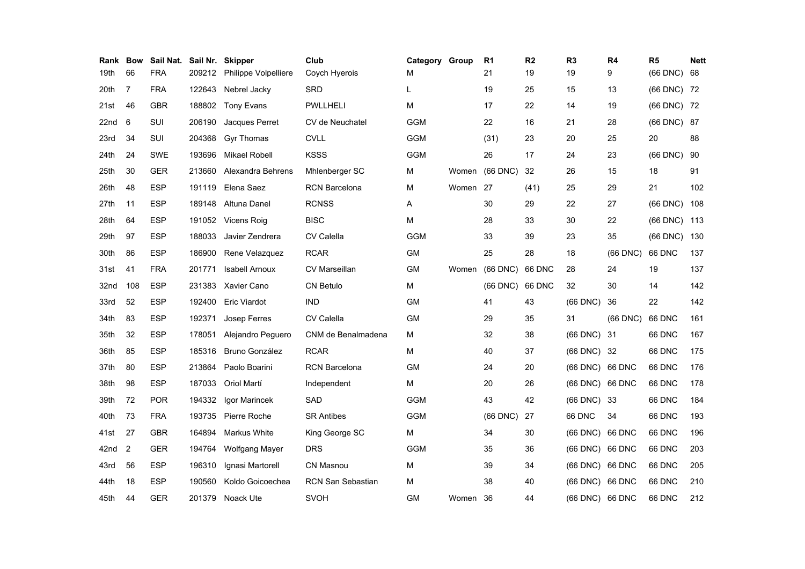| Rank Bow |     | Sail Nat.  |        | Sail Nr. Skipper      | Club                     | Category Group |          | R <sub>1</sub> | R2            | R <sub>3</sub>  | R4            | R <sub>5</sub> | <b>Nett</b> |
|----------|-----|------------|--------|-----------------------|--------------------------|----------------|----------|----------------|---------------|-----------------|---------------|----------------|-------------|
| 19th     | 66  | <b>FRA</b> | 209212 | Philippe Volpelliere  | Coych Hyerois            | M              |          | 21             | 19            | 19              | 9             | $(66$ DNC $)$  | 68          |
| 20th     | 7   | <b>FRA</b> | 122643 | Nebrel Jacky          | <b>SRD</b>               | L              |          | 19             | 25            | 15              | 13            | (66 DNC) 72    |             |
| 21st     | 46  | <b>GBR</b> | 188802 | <b>Tony Evans</b>     | <b>PWLLHELI</b>          | M              |          | 17             | 22            | 14              | 19            | (66 DNC) 72    |             |
| 22nd     | 6   | SUI        | 206190 | Jacques Perret        | CV de Neuchatel          | <b>GGM</b>     |          | 22             | 16            | 21              | 28            | (66 DNC) 87    |             |
| 23rd     | 34  | SUI        | 204368 | <b>Gyr Thomas</b>     | <b>CVLL</b>              | <b>GGM</b>     |          | (31)           | 23            | 20              | 25            | 20             | 88          |
| 24th     | 24  | SWE        | 193696 | <b>Mikael Robell</b>  | <b>KSSS</b>              | <b>GGM</b>     |          | 26             | 17            | 24              | 23            | $(66$ DNC $)$  | 90          |
| 25th     | 30  | <b>GER</b> | 213660 | Alexandra Behrens     | Mhlenberger SC           | м              | Women    | (66 DNC)       | 32            | 26              | 15            | 18             | 91          |
| 26th     | 48  | <b>ESP</b> | 191119 | Elena Saez            | <b>RCN Barcelona</b>     | M              | Women 27 |                | (41)          | 25              | 29            | 21             | 102         |
| 27th     | 11  | <b>ESP</b> | 189148 | Altuna Danel          | <b>RCNSS</b>             | Α              |          | 30             | 29            | 22              | 27            | $(66$ DNC $)$  | 108         |
| 28th     | 64  | <b>ESP</b> | 191052 | Vicens Roig           | <b>BISC</b>              | M              |          | 28             | 33            | 30              | 22            | $(66$ DNC $)$  | 113         |
| 29th     | 97  | <b>ESP</b> | 188033 | Javier Zendrera       | <b>CV Calella</b>        | <b>GGM</b>     |          | 33             | 39            | 23              | 35            | $(66$ DNC $)$  | 130         |
| 30th     | 86  | <b>ESP</b> | 186900 | Rene Velazquez        | <b>RCAR</b>              | <b>GM</b>      |          | 25             | 28            | 18              | $(66$ DNC $)$ | 66 DNC         | 137         |
| 31st     | 41  | <b>FRA</b> | 201771 | <b>Isabell Arnoux</b> | <b>CV Marseillan</b>     | GM             | Women    | $(66$ DNC $)$  | <b>66 DNC</b> | 28              | 24            | 19             | 137         |
| 32nd     | 108 | <b>ESP</b> | 231383 | <b>Xavier Cano</b>    | <b>CN Betulo</b>         | M              |          | (66 DNC)       | <b>66 DNC</b> | 32              | 30            | 14             | 142         |
| 33rd     | 52  | <b>ESP</b> | 192400 | <b>Eric Viardot</b>   | <b>IND</b>               | <b>GM</b>      |          | 41             | 43            | (66 DNC)        | 36            | 22             | 142         |
| 34th     | 83  | <b>ESP</b> | 192371 | Josep Ferres          | CV Calella               | <b>GM</b>      |          | 29             | 35            | 31              | $(66$ DNC $)$ | <b>66 DNC</b>  | 161         |
| 35th     | 32  | <b>ESP</b> | 178051 | Alejandro Peguero     | CNM de Benalmadena       | M              |          | 32             | 38            | $(66$ DNC $)$   | -31           | 66 DNC         | 167         |
| 36th     | 85  | <b>ESP</b> | 185316 | <b>Bruno González</b> | <b>RCAR</b>              | м              |          | 40             | 37            | (66 DNC) 32     |               | 66 DNC         | 175         |
| 37th     | 80  | <b>ESP</b> | 213864 | Paolo Boarini         | <b>RCN Barcelona</b>     | <b>GM</b>      |          | 24             | 20            | (66 DNC) 66 DNC |               | <b>66 DNC</b>  | 176         |
| 38th     | 98  | <b>ESP</b> | 187033 | Oriol Martí           | Independent              | M              |          | 20             | 26            | (66 DNC) 66 DNC |               | 66 DNC         | 178         |
| 39th     | 72  | <b>POR</b> | 194332 | Igor Marincek         | <b>SAD</b>               | <b>GGM</b>     |          | 43             | 42            | (66 DNC) 33     |               | 66 DNC         | 184         |
| 40th     | 73  | <b>FRA</b> | 193735 | Pierre Roche          | <b>SR Antibes</b>        | <b>GGM</b>     |          | $(66$ DNC $)$  | 27            | 66 DNC          | 34            | 66 DNC         | 193         |
| 41st     | 27  | <b>GBR</b> | 164894 | Markus White          | King George SC           | M              |          | 34             | 30            | (66 DNC) 66 DNC |               | 66 DNC         | 196         |
| 42nd     | 2   | <b>GER</b> | 194764 | Wolfgang Mayer        | <b>DRS</b>               | <b>GGM</b>     |          | 35             | 36            | (66 DNC) 66 DNC |               | 66 DNC         | 203         |
| 43rd     | 56  | <b>ESP</b> | 196310 | Ignasi Martorell      | <b>CN Masnou</b>         | M              |          | 39             | 34            | (66 DNC) 66 DNC |               | 66 DNC         | 205         |
| 44th     | 18  | <b>ESP</b> | 190560 | Koldo Goicoechea      | <b>RCN San Sebastian</b> | M              |          | 38             | 40            | (66 DNC) 66 DNC |               | 66 DNC         | 210         |
| 45th     | 44  | <b>GER</b> | 201379 | Noack Ute             | <b>SVOH</b>              | <b>GM</b>      | Women 36 |                | 44            | (66 DNC) 66 DNC |               | 66 DNC         | 212         |